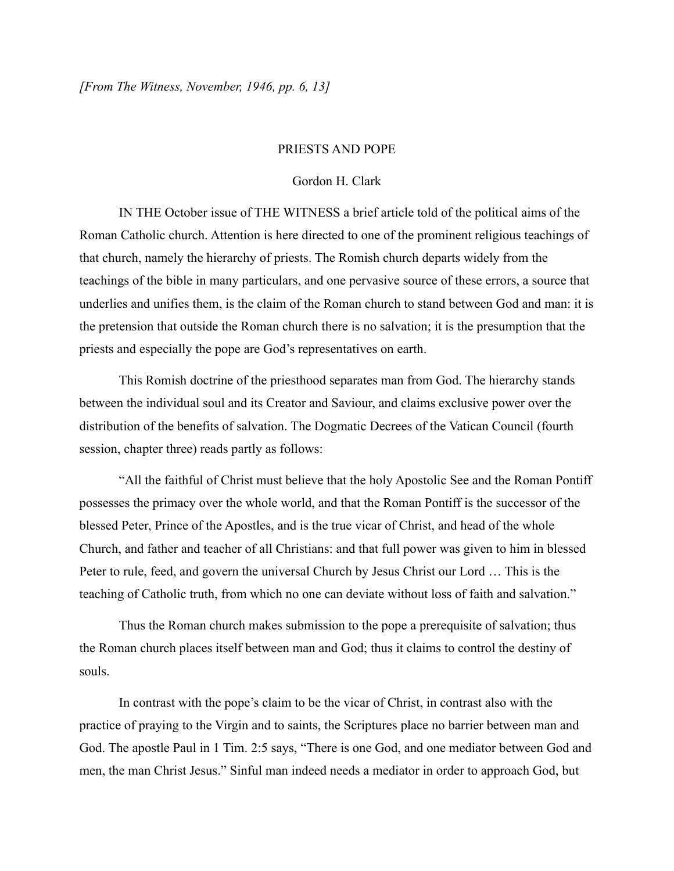## PRIESTS AND POPE

## Gordon H. Clark

IN THE October issue of THE WITNESS a brief article told of the political aims of the Roman Catholic church. Attention is here directed to one of the prominent religious teachings of that church, namely the hierarchy of priests. The Romish church departs widely from the teachings of the bible in many particulars, and one pervasive source of these errors, a source that underlies and unifies them, is the claim of the Roman church to stand between God and man: it is the pretension that outside the Roman church there is no salvation; it is the presumption that the priests and especially the pope are God's representatives on earth.

This Romish doctrine of the priesthood separates man from God. The hierarchy stands between the individual soul and its Creator and Saviour, and claims exclusive power over the distribution of the benefits of salvation. The Dogmatic Decrees of the Vatican Council (fourth session, chapter three) reads partly as follows:

"All the faithful of Christ must believe that the holy Apostolic See and the Roman Pontiff possesses the primacy over the whole world, and that the Roman Pontiff is the successor of the blessed Peter, Prince of the Apostles, and is the true vicar of Christ, and head of the whole Church, and father and teacher of all Christians: and that full power was given to him in blessed Peter to rule, feed, and govern the universal Church by Jesus Christ our Lord … This is the teaching of Catholic truth, from which no one can deviate without loss of faith and salvation."

Thus the Roman church makes submission to the pope a prerequisite of salvation; thus the Roman church places itself between man and God; thus it claims to control the destiny of souls.

In contrast with the pope's claim to be the vicar of Christ, in contrast also with the practice of praying to the Virgin and to saints, the Scriptures place no barrier between man and God. The apostle Paul in 1 Tim. 2:5 says, "There is one God, and one mediator between God and men, the man Christ Jesus." Sinful man indeed needs a mediator in order to approach God, but